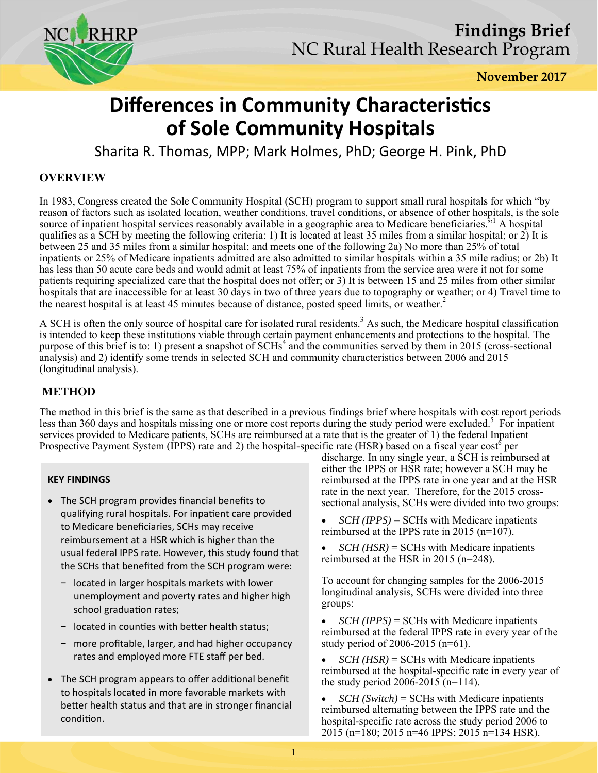

# **Differences in Community Characteristics of Sole Community Hospitals**

Sharita R. Thomas, MPP; Mark Holmes, PhD; George H. Pink, PhD

# **OVERVIEW**

In 1983, Congress created the Sole Community Hospital (SCH) program to support small rural hospitals for which "by reason of factors such as isolated location, weather conditions, travel conditions, or absence of other hospitals, is the sole source of inpatient hospital services reasonably available in a geographic area to Medicare beneficiaries.<sup>5,1</sup> A hospital qualifies as a SCH by meeting the following criteria: 1) It is located at least 35 miles from a similar hospital; or 2) It is between 25 and 35 miles from a similar hospital; and meets one of the following 2a) No more than 25% of total inpatients or 25% of Medicare inpatients admitted are also admitted to similar hospitals within a 35 mile radius; or 2b) It has less than 50 acute care beds and would admit at least 75% of inpatients from the service area were it not for some patients requiring specialized care that the hospital does not offer; or 3) It is between 15 and 25 miles from other similar hospitals that are inaccessible for at least 30 days in two of three years due to topography or weather; or 4) Travel time to the nearest hospital is at least 45 minutes because of distance, posted speed limits, or weather.<sup>2</sup>

A SCH is often the only source of hospital care for isolated rural residents.<sup>3</sup> As such, the Medicare hospital classification is intended to keep these institutions viable through certain payment enhancements and protections to the hospital. The purpose of this brief is to: 1) present a snapshot of SCHs<sup>4</sup> and the communities served by them in 2015 (cross-sectional analysis) and 2) identify some trends in selected SCH and community characteristics between 2006 and 2015 (longitudinal analysis).

## **METHOD**

The method in this brief is the same as that described in a previous findings brief where hospitals with cost report periods less than 360 days and hospitals missing one or more cost reports during the study period were excluded.<sup>5</sup> For inpatient services provided to Medicare patients, SCHs are reimbursed at a rate that is the greater of 1) the federal Inpatient Prospective Payment System (IPPS) rate and 2) the hospital-specific rate (HSR) based on a fiscal year cost per

### **KEY FINDINGS**

- The SCH program provides financial benefits to qualifying rural hospitals. For inpatient care provided to Medicare beneficiaries, SCHs may receive reimbursement at a HSR which is higher than the usual federal IPPS rate. However, this study found that the SCHs that benefited from the SCH program were:
	- − located in larger hospitals markets with lower unemployment and poverty rates and higher high school graduation rates;
	- − located in counƟes with beƩer health status;
	- − more profitable, larger, and had higher occupancy rates and employed more FTE staff per bed.
- The SCH program appears to offer additional benefit to hospitals located in more favorable markets with better health status and that are in stronger financial condition.

discharge. In any single year, a SCH is reimbursed at either the IPPS or HSR rate; however a SCH may be reimbursed at the IPPS rate in one year and at the HSR rate in the next year. Therefore, for the 2015 crosssectional analysis, SCHs were divided into two groups:

• *SCH (IPPS)* = SCHs with Medicare inpatients reimbursed at the IPPS rate in 2015 ( $n=107$ ).

• *SCH (HSR)* = SCHs with Medicare inpatients reimbursed at the HSR in 2015 (n=248).

To account for changing samples for the 2006-2015 longitudinal analysis, SCHs were divided into three groups:

 *SCH (IPPS)* = SCHs with Medicare inpatients reimbursed at the federal IPPS rate in every year of the study period of 2006-2015 (n=61).

• *SCH (HSR)* = SCHs with Medicare inpatients reimbursed at the hospital-specific rate in every year of the study period 2006-2015 ( $n=114$ ).

 *SCH (Switch)* = SCHs with Medicare inpatients reimbursed alternating between the IPPS rate and the hospital-specific rate across the study period 2006 to 2015 (n=180; 2015 n=46 IPPS; 2015 n=134 HSR).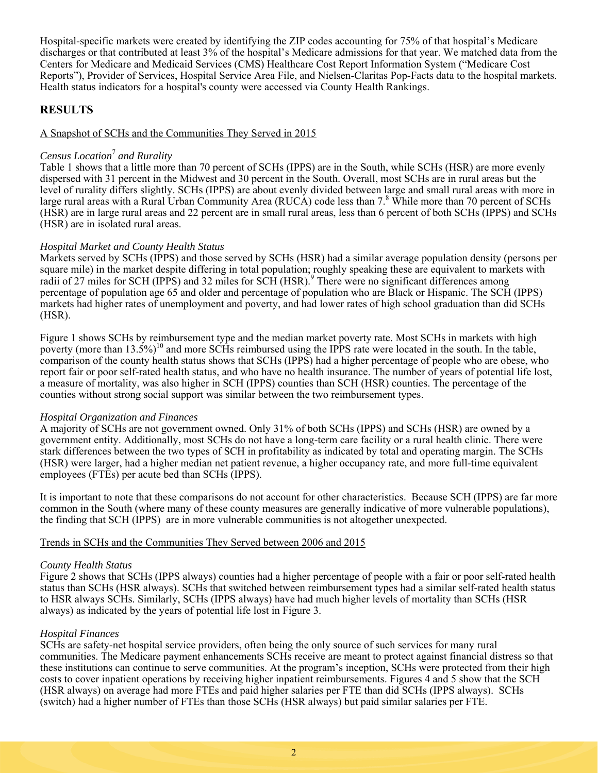Hospital-specific markets were created by identifying the ZIP codes accounting for 75% of that hospital's Medicare discharges or that contributed at least 3% of the hospital's Medicare admissions for that year. We matched data from the Centers for Medicare and Medicaid Services (CMS) Healthcare Cost Report Information System ("Medicare Cost Reports"), Provider of Services, Hospital Service Area File, and Nielsen-Claritas Pop-Facts data to the hospital markets. Health status indicators for a hospital's county were accessed via County Health Rankings.

## **RESULTS**

#### A Snapshot of SCHs and the Communities They Served in 2015

#### *Census Location*<sup>7</sup>  *and Rurality*

Table 1 shows that a little more than 70 percent of SCHs (IPPS) are in the South, while SCHs (HSR) are more evenly dispersed with 31 percent in the Midwest and 30 percent in the South. Overall, most SCHs are in rural areas but the level of rurality differs slightly. SCHs (IPPS) are about evenly divided between large and small rural areas with more in large rural areas with a Rural Urban Community Area (RUCA) code less than 7.<sup>8</sup> While more than 70 percent of SCHs (HSR) are in large rural areas and 22 percent are in small rural areas, less than 6 percent of both SCHs (IPPS) and SCHs (HSR) are in isolated rural areas.

#### *Hospital Market and County Health Status*

Markets served by SCHs (IPPS) and those served by SCHs (HSR) had a similar average population density (persons per square mile) in the market despite differing in total population; roughly speaking these are equivalent to markets with radii of 27 miles for SCH (IPPS) and 32 miles for SCH (HSR).<sup>9</sup> There were no significant differences among percentage of population age 65 and older and percentage of population who are Black or Hispanic. The SCH (IPPS) markets had higher rates of unemployment and poverty, and had lower rates of high school graduation than did SCHs (HSR).

Figure 1 shows SCHs by reimbursement type and the median market poverty rate. Most SCHs in markets with high poverty (more than  $13.5\%$ )<sup>10</sup> and more SCHs reimbursed using the IPPS rate were located in the south. In the table, comparison of the county health status shows that SCHs (IPPS) had a higher percentage of people who are obese, who report fair or poor self-rated health status, and who have no health insurance. The number of years of potential life lost, a measure of mortality, was also higher in SCH (IPPS) counties than SCH (HSR) counties. The percentage of the counties without strong social support was similar between the two reimbursement types.

#### *Hospital Organization and Finances*

A majority of SCHs are not government owned. Only 31% of both SCHs (IPPS) and SCHs (HSR) are owned by a government entity. Additionally, most SCHs do not have a long-term care facility or a rural health clinic. There were stark differences between the two types of SCH in profitability as indicated by total and operating margin. The SCHs (HSR) were larger, had a higher median net patient revenue, a higher occupancy rate, and more full-time equivalent employees (FTEs) per acute bed than SCHs (IPPS).

It is important to note that these comparisons do not account for other characteristics. Because SCH (IPPS) are far more common in the South (where many of these county measures are generally indicative of more vulnerable populations), the finding that SCH (IPPS) are in more vulnerable communities is not altogether unexpected.

#### Trends in SCHs and the Communities They Served between 2006 and 2015

#### *County Health Status*

Figure 2 shows that SCHs (IPPS always) counties had a higher percentage of people with a fair or poor self-rated health status than SCHs (HSR always). SCHs that switched between reimbursement types had a similar self-rated health status to HSR always SCHs. Similarly, SCHs (IPPS always) have had much higher levels of mortality than SCHs (HSR always) as indicated by the years of potential life lost in Figure 3.

#### *Hospital Finances*

SCHs are safety-net hospital service providers, often being the only source of such services for many rural communities. The Medicare payment enhancements SCHs receive are meant to protect against financial distress so that these institutions can continue to serve communities. At the program's inception, SCHs were protected from their high costs to cover inpatient operations by receiving higher inpatient reimbursements. Figures 4 and 5 show that the SCH (HSR always) on average had more FTEs and paid higher salaries per FTE than did SCHs (IPPS always). SCHs (switch) had a higher number of FTEs than those SCHs (HSR always) but paid similar salaries per FTE.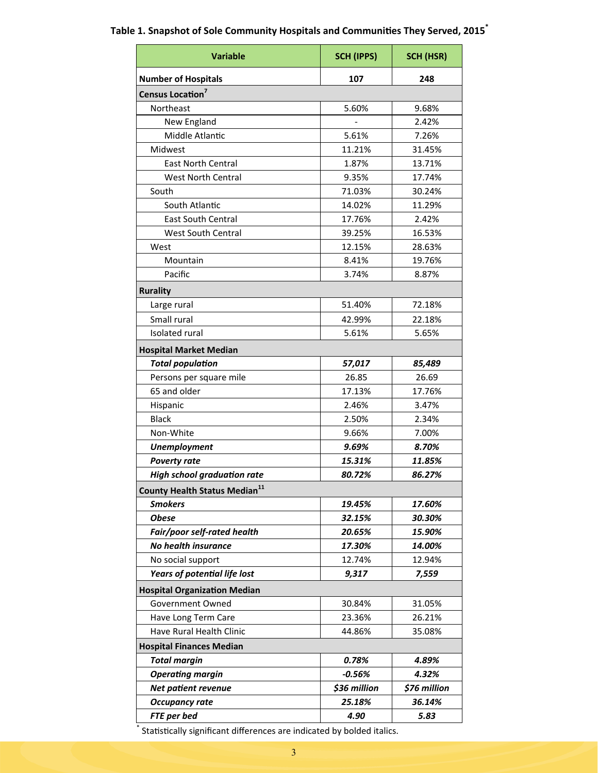# **Variable SCH (IPPS) SCH (HSR) Number of Hospitals 107 248** Census Location<sup>7</sup> Northeast 5.60% 9.68% New England **New England 1988** Middle Atlantic 1991 126% 120 126% Midwest 11.21% 31.45% East North Central 1.87% 13.71% West North Central 17.74% South 71.03% 30.24% South Atlantic 14.02% | 11.29% East South Central 17.76% 2.42% West South Central 16.53% West 12.15% 28.63% Mountain 19.76% Pacific 2.87% 2.87% **Rurality**  Large rural 1991 12.18% Small rural 1998 1998 1998 1998 22.18% Isolated rural 5.61% 5.65% **Hospital Market Median**  *Total populaƟon 57,017 85,489* Persons per square mile 26.85 26.69 65 and older 17.13% 17.76% Hispanic 2.46% 2.46% 3.47% Black 2.34% Non-White 9.66% | 7.00% *Unemployment 9.69% 8.70% Poverty rate 15.31% 11.85% High school graduaƟon rate 80.72% 86.27%* **County Health Status Median<sup>11</sup>** *Smokers 19.45% 17.60% Obese 32.15% 30.30% Fair/poor self‐rated health 20.65% 15.90% No health insurance 17.30% 14.00%* No social support 12.74% 12.94% *Years of potenƟal life lost 9,317 7,559* **Hospital Organization Median** Government Owned 1 30.84% 31.05% Have Long Term Care **1988** | 23.36% | 26.21% Have Rural Health Clinic **1998** 144.86% | 35.08% **Hospital Finances Median**  *Total margin 0.78% 4.89% OperaƟng margin ‐0.56% 4.32% Net patient revenue* **826 \$36 million \$76 million** *Occupancy rate 25.18% 36.14% FTE per bed 4.90 5.83*

#### **Table 1. Snapshot of Sole Community Hospitals and Communities They Served, 2015<sup>** $\dot$ **</sup>**

Statistically significant differences are indicated by bolded italics.

\*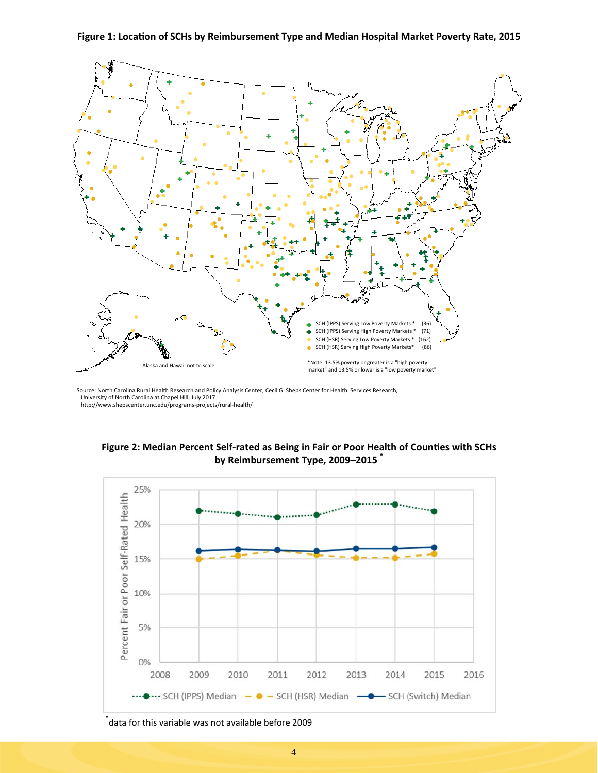Figure 1: Location of SCHs by Reimbursement Type and Median Hospital Market Poverty Rate, 2015



Source: North Carolina Rural Health Research and Policy Analysis Center, Cecil G. Sheps Center for Health Services Research, University of North Carolina at Chapel Hill, July 2017 http://www.shepscenter.unc.edu/programs-projects/rural-health/

Figure 2: Median Percent Self-rated as Being in Fair or Poor Health of Counties with SCHs **by Reimbursement Type, 2009–2015 \***



**<sup>\*</sup>** data for this variable was not available before 2009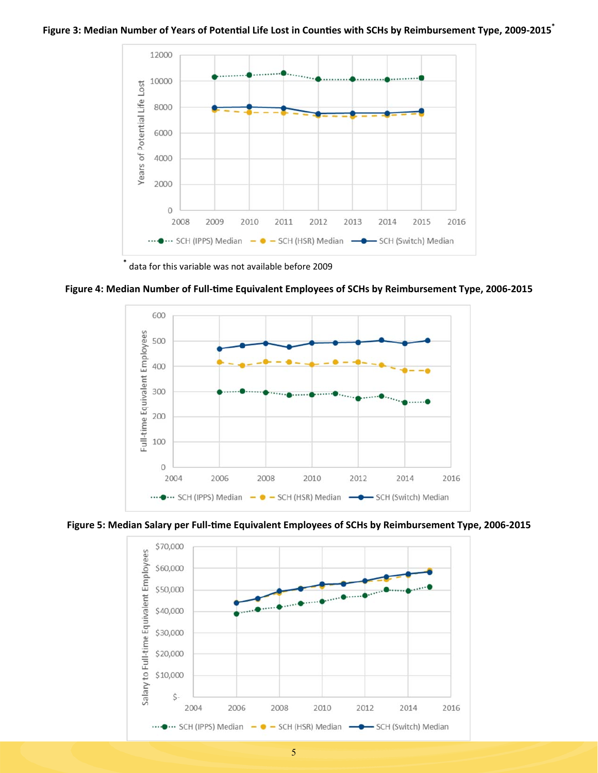#### Figure 3: Median Number of Years of Potential Life Lost in Counties with SCHs by Reimbursement Type, 2009-2015<sup>\*</sup>



**\*** data for this variable was not available before 2009

Figure 4: Median Number of Full-time Equivalent Employees of SCHs by Reimbursement Type, 2006-2015



Figure 5: Median Salary per Full-time Equivalent Employees of SCHs by Reimbursement Type, 2006-2015